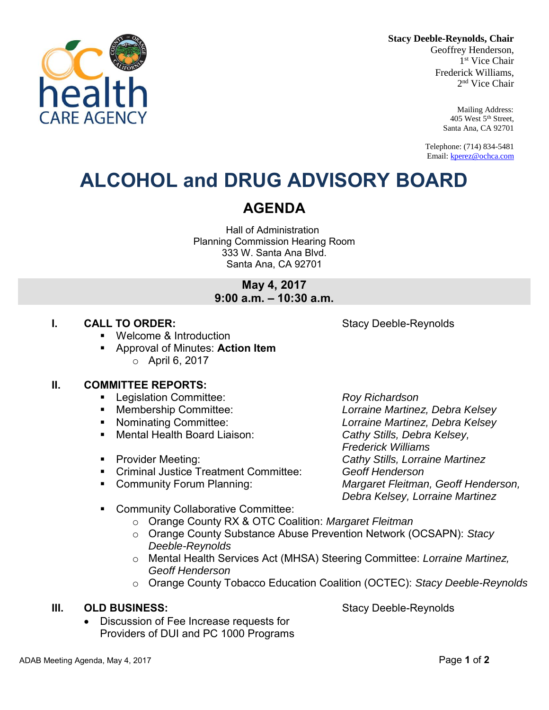**Stacy Deeble-Reynolds, Chair**

Geoffrey Henderson, 1 st Vice Chair Frederick Williams, 2 nd Vice Chair

> Mailing Address: 405 West 5th Street, Santa Ana, CA 92701

Telephone: (714) 834-5481 Email[: kperez@ochca.com](mailto:kperez@ochca.com)

## **ALCOHOL and DRUG ADVISORY BOARD**

### **AGENDA**

Hall of Administration Planning Commission Hearing Room 333 W. Santa Ana Blvd. Santa Ana, CA 92701

> **May 4, 2017 9:00 a.m. – 10:30 a.m.**

#### **I. CALL TO ORDER:** Stacy Deeble-Reynolds

- Welcome & Introduction
- Approval of Minutes: **Action Item**  o April 6, 2017

#### **II. COMMITTEE REPORTS:**

- Legislation Committee: *Roy Richardson*
- 
- 
- Mental Health Board Liaison: *Cathy Stills, Debra Kelsey,*
- 
- Criminal Justice Treatment Committee: *Geoff Henderson*
- 

 Membership Committee: *Lorraine Martinez, Debra Kelsey* Nominating Committee: *Lorraine Martinez, Debra Kelsey Frederick Williams*  Provider Meeting: *Cathy Stills, Lorraine Martinez* Community Forum Planning: *Margaret Fleitman, Geoff Henderson, Debra Kelsey, Lorraine Martinez* 

- **EXECOMMUNITY Collaborative Committee:** 
	- o Orange County RX & OTC Coalition: *Margaret Fleitman*
	- o Orange County Substance Abuse Prevention Network (OCSAPN): *Stacy Deeble-Reynolds*
	- o Mental Health Services Act (MHSA) Steering Committee: *Lorraine Martinez, Geoff Henderson*
	- o Orange County Tobacco Education Coalition (OCTEC): *Stacy Deeble-Reynolds*

### **III.** OLD BUSINESS: Stacy Deeble-Reynolds

 Discussion of Fee Increase requests for Providers of DUI and PC 1000 Programs